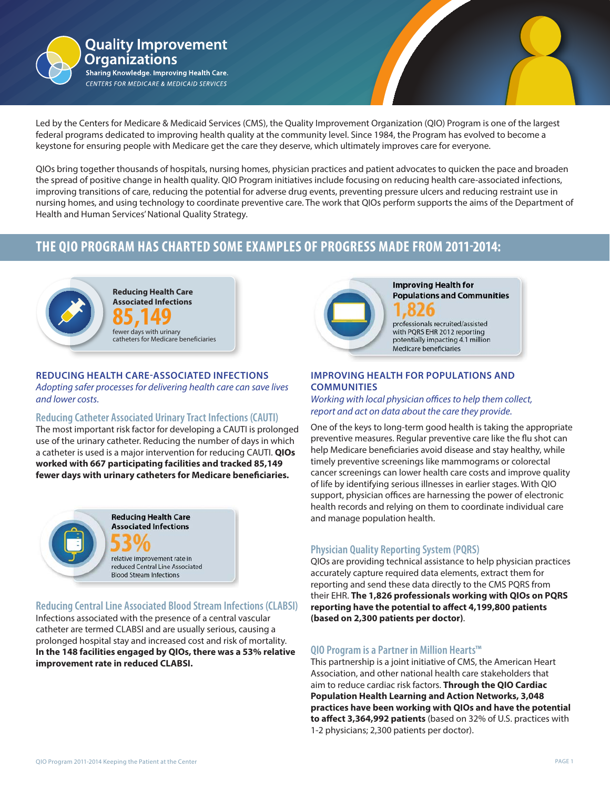

Led by the Centers for Medicare & Medicaid Services (CMS), the Quality Improvement Organization (QIO) Program is one of the largest federal programs dedicated to improving health quality at the community level. Since 1984, the Program has evolved to become a keystone for ensuring people with Medicare get the care they deserve, which ultimately improves care for everyone.

QIOs bring together thousands of hospitals, nursing homes, physician practices and patient advocates to quicken the pace and broaden<br>the spread of positive change in health quality. QIO Program initiatives include focusing improving transitions of care, reducing the potential for adverse drug events, preventing pressure ulcers and reducing restraint use in<br>nursing homes, and using technology to coordinate preventive care. The work that QIOs QIOs bring together thousands of hospitals, nursing homes, physician practices and patient advocates to quicken the pace and broaden improving transitions of care, reducing the potential for adverse drug events, preventing pressure ulcers and reducing restraint use in Health and Human Services' National Quality Strategy.

# **THE QIO PROGRAM HAS CHARTED SOME EXAMPLES OF PROGRESS MADE FROM 2011-2014:**



#### **REDUCING HEALTH CARE-ASSOCIATED INFECTIONS**

*Adopting safer processes for delivering health care can save lives and lower costs.*

#### **Reducing Catheter Associated Urinary Tract Infections (CAUTI)**

The most important risk factor for developing a CAUTI is prolonged use of the urinary catheter. Reducing the number of days in which a catheter is used is a major intervention for reducing CAUTI. **QIOs worked with 667 participating facilities and tracked 85,149 fewer days with urinary catheters for Medicare beneficiaries.**



### **Reducing Central Line Associated Blood Stream Infections (CLABSI)**

Infections associated with the presence of a central vascular catheter are termed CLABSI and are usually serious, causing a prolonged hospital stay and increased cost and risk of mortality. **In the 148 facilities engaged by QIOs, there was a 53% relative improvement rate in reduced CLABSI.**



**Improving Health for Populations and Communities** 

professionals recruited/assisted with PQRS EHR 2012 reporting potentially impacting 4.1 million Medicare beneficiaries

## **IMPROVING HEALTH FOR POPULATIONS AND COMMUNITIES**

*Working with local physician offices to help them collect, report and act on data about the care they provide.*

One of the keys to long-term good health is taking the appropriate preventive measures. Regular preventive care like the flu shot can help Medicare beneficiaries avoid disease and stay healthy, while timely preventive screenings like mammograms or colorectal cancer screenings can lower health care costs and improve quality of life by identifying serious illnesses in earlier stages. With QIO support, physician offices are harnessing the power of electronic health records and relying on them to coordinate individual care and manage population health.

# **Physician Quality Reporting System (PQRS)**

QIOs are providing technical assistance to help physician practices accurately capture required data elements, extract them for reporting and send these data directly to the CMS PQRS from their EHR. **The 1,826 professionals working with QIOs on PQRS reporting have the potential to affect 4,199,800 patients (based on 2,300 patients per doctor)**.

### **QIO Program is a Partner in Million Hearts™**

This partnership is a joint initiative of CMS, the American Heart Association, and other national health care stakeholders that aim to reduce cardiac risk factors. **Through the QIO Cardiac Population Health Learning and Action Networks, 3,048 practices have been working with QIOs and have the potential to affect 3,364,992 patients** (based on 32% of U.S. practices with 1-2 physicians; 2,300 patients per doctor).